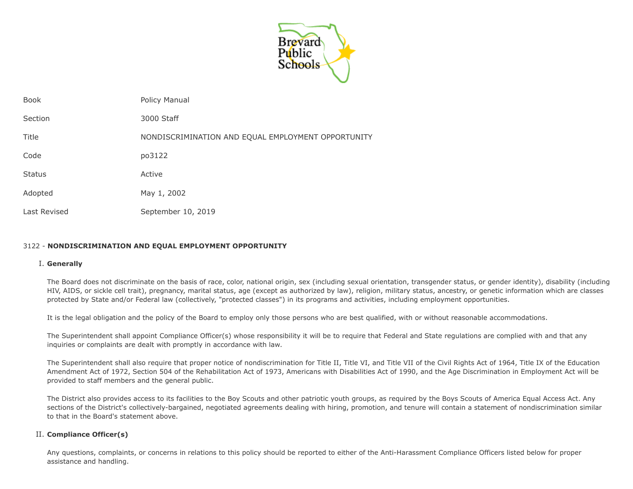

| <b>Book</b>   | Policy Manual                                      |
|---------------|----------------------------------------------------|
| Section       | 3000 Staff                                         |
| Title         | NONDISCRIMINATION AND EQUAL EMPLOYMENT OPPORTUNITY |
| Code          | po3122                                             |
| <b>Status</b> | Active                                             |
| Adopted       | May 1, 2002                                        |
| Last Revised  | September 10, 2019                                 |

# 3122 - **NONDISCRIMINATION AND EQUAL EMPLOYMENT OPPORTUNITY**

#### I. **Generally**

The Board does not discriminate on the basis of race, color, national origin, sex (including sexual orientation, transgender status, or gender identity), disability (including HIV, AIDS, or sickle cell trait), pregnancy, marital status, age (except as authorized by law), religion, military status, ancestry, or genetic information which are classes protected by State and/or Federal law (collectively, "protected classes") in its programs and activities, including employment opportunities.

It is the legal obligation and the policy of the Board to employ only those persons who are best qualified, with or without reasonable accommodations.

The Superintendent shall appoint Compliance Officer(s) whose responsibility it will be to require that Federal and State regulations are complied with and that any inquiries or complaints are dealt with promptly in accordance with law.

The Superintendent shall also require that proper notice of nondiscrimination for Title II, Title VI, and Title VII of the Civil Rights Act of 1964, Title IX of the Education Amendment Act of 1972, Section 504 of the Rehabilitation Act of 1973, Americans with Disabilities Act of 1990, and the Age Discrimination in Employment Act will be provided to staff members and the general public.

The District also provides access to its facilities to the Boy Scouts and other patriotic youth groups, as required by the Boys Scouts of America Equal Access Act. Any sections of the District's collectively-bargained, negotiated agreements dealing with hiring, promotion, and tenure will contain a statement of nondiscrimination similar to that in the Board's statement above.

# II. **Compliance Officer(s)**

Any questions, complaints, or concerns in relations to this policy should be reported to either of the Anti-Harassment Compliance Officers listed below for proper assistance and handling.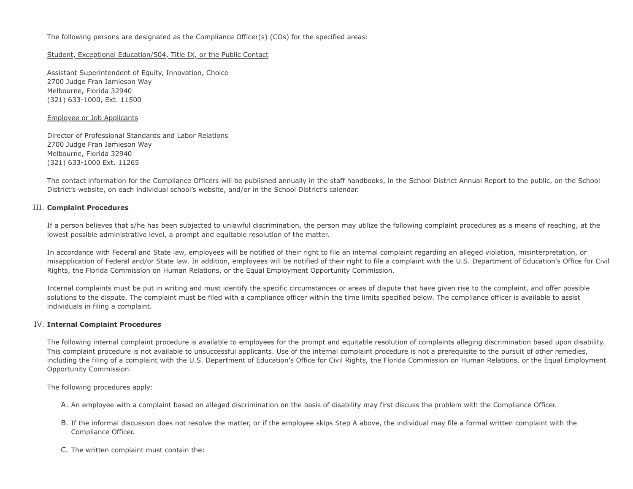The following persons are designated as the Compliance Officer(s) (COs) for the specified areas:

#### Student, Exceptional Education/504, Title IX, or the Public Contact

Assistant Superintendent of Equity, Innovation, Choice 2700 Judge Fran Jamieson Way Melbourne, Florida 32940 (321) 633-1000, Ext. 11500

#### Employee or Job Applicants

Director of Professional Standards and Labor Relations 2700 Judge Fran Jamieson Way Melbourne, Florida 32940 (321) 633-1000 Ext. 11265

The contact information for the Compliance Officers will be published annually in the staff handbooks, in the School District Annual Report to the public, on the School District's website, on each individual school's website, and/or in the School District's calendar.

# III. **Complaint Procedures**

If a person believes that s/he has been subjected to unlawful discrimination, the person may utilize the following complaint procedures as a means of reaching, at the lowest possible administrative level, a prompt and equitable resolution of the matter.

In accordance with Federal and State law, employees will be notified of their right to file an internal complaint regarding an alleged violation, misinterpretation, or misapplication of Federal and/or State law. In addition, employees will be notified of their right to file a complaint with the U.S. Department of Education's Office for Civil Rights, the Florida Commission on Human Relations, or the Equal Employment Opportunity Commission.

Internal complaints must be put in writing and must identify the specific circumstances or areas of dispute that have given rise to the complaint, and offer possible solutions to the dispute. The complaint must be filed with a compliance officer within the time limits specified below. The compliance officer is available to assist individuals in filing a complaint.

# IV. **Internal Complaint Procedures**

The following internal complaint procedure is available to employees for the prompt and equitable resolution of complaints alleging discrimination based upon disability. This complaint procedure is not available to unsuccessful applicants. Use of the internal complaint procedure is not a prerequisite to the pursuit of other remedies, including the filing of a complaint with the U.S. Department of Education's Office for Civil Rights, the Florida Commission on Human Relations, or the Equal Employment Opportunity Commission.

The following procedures apply:

- A. An employee with a complaint based on alleged discrimination on the basis of disability may first discuss the problem with the Compliance Officer.
- B. If the informal discussion does not resolve the matter, or if the employee skips Step A above, the individual may file a formal written complaint with the Compliance Officer.
- C. The written complaint must contain the: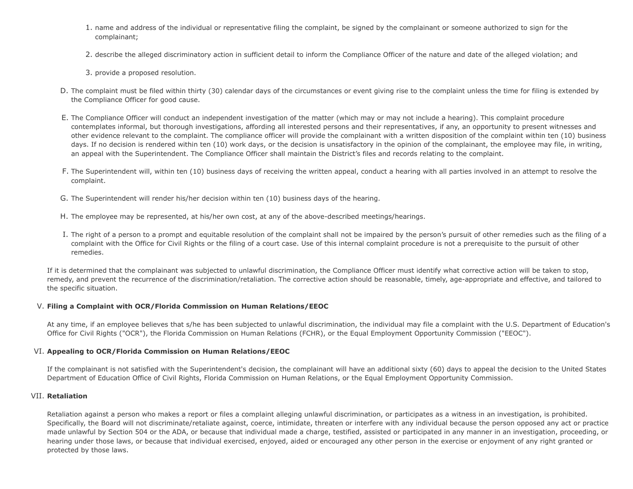- 1. name and address of the individual or representative filing the complaint, be signed by the complainant or someone authorized to sign for the complainant;
- 2. describe the alleged discriminatory action in sufficient detail to inform the Compliance Officer of the nature and date of the alleged violation; and
- 3. provide a proposed resolution.
- D. The complaint must be filed within thirty (30) calendar days of the circumstances or event giving rise to the complaint unless the time for filing is extended by the Compliance Officer for good cause.
- E. The Compliance Officer will conduct an independent investigation of the matter (which may or may not include a hearing). This complaint procedure contemplates informal, but thorough investigations, affording all interested persons and their representatives, if any, an opportunity to present witnesses and other evidence relevant to the complaint. The compliance officer will provide the complainant with a written disposition of the complaint within ten (10) business days. If no decision is rendered within ten (10) work days, or the decision is unsatisfactory in the opinion of the complainant, the employee may file, in writing, an appeal with the Superintendent. The Compliance Officer shall maintain the District's files and records relating to the complaint.
- F. The Superintendent will, within ten (10) business days of receiving the written appeal, conduct a hearing with all parties involved in an attempt to resolve the complaint.
- G. The Superintendent will render his/her decision within ten (10) business days of the hearing.
- H. The employee may be represented, at his/her own cost, at any of the above-described meetings/hearings.
- I. The right of a person to a prompt and equitable resolution of the complaint shall not be impaired by the person's pursuit of other remedies such as the filing of a complaint with the Office for Civil Rights or the filing of a court case. Use of this internal complaint procedure is not a prerequisite to the pursuit of other remedies.

If it is determined that the complainant was subjected to unlawful discrimination, the Compliance Officer must identify what corrective action will be taken to stop, remedy, and prevent the recurrence of the discrimination/retaliation. The corrective action should be reasonable, timely, age-appropriate and effective, and tailored to the specific situation.

# V. **Filing a Complaint with OCR/Florida Commission on Human Relations/EEOC**

At any time, if an employee believes that s/he has been subjected to unlawful discrimination, the individual may file a complaint with the U.S. Department of Education's Office for Civil Rights ("OCR"), the Florida Commission on Human Relations (FCHR), or the Equal Employment Opportunity Commission ("EEOC").

# VI. **Appealing to OCR/Florida Commission on Human Relations/EEOC**

If the complainant is not satisfied with the Superintendent's decision, the complainant will have an additional sixty (60) days to appeal the decision to the United States Department of Education Office of Civil Rights, Florida Commission on Human Relations, or the Equal Employment Opportunity Commission.

# VII. **Retaliation**

Retaliation against a person who makes a report or files a complaint alleging unlawful discrimination, or participates as a witness in an investigation, is prohibited. Specifically, the Board will not discriminate/retaliate against, coerce, intimidate, threaten or interfere with any individual because the person opposed any act or practice made unlawful by Section 504 or the ADA, or because that individual made a charge, testified, assisted or participated in any manner in an investigation, proceeding, or hearing under those laws, or because that individual exercised, enjoyed, aided or encouraged any other person in the exercise or enjoyment of any right granted or protected by those laws.